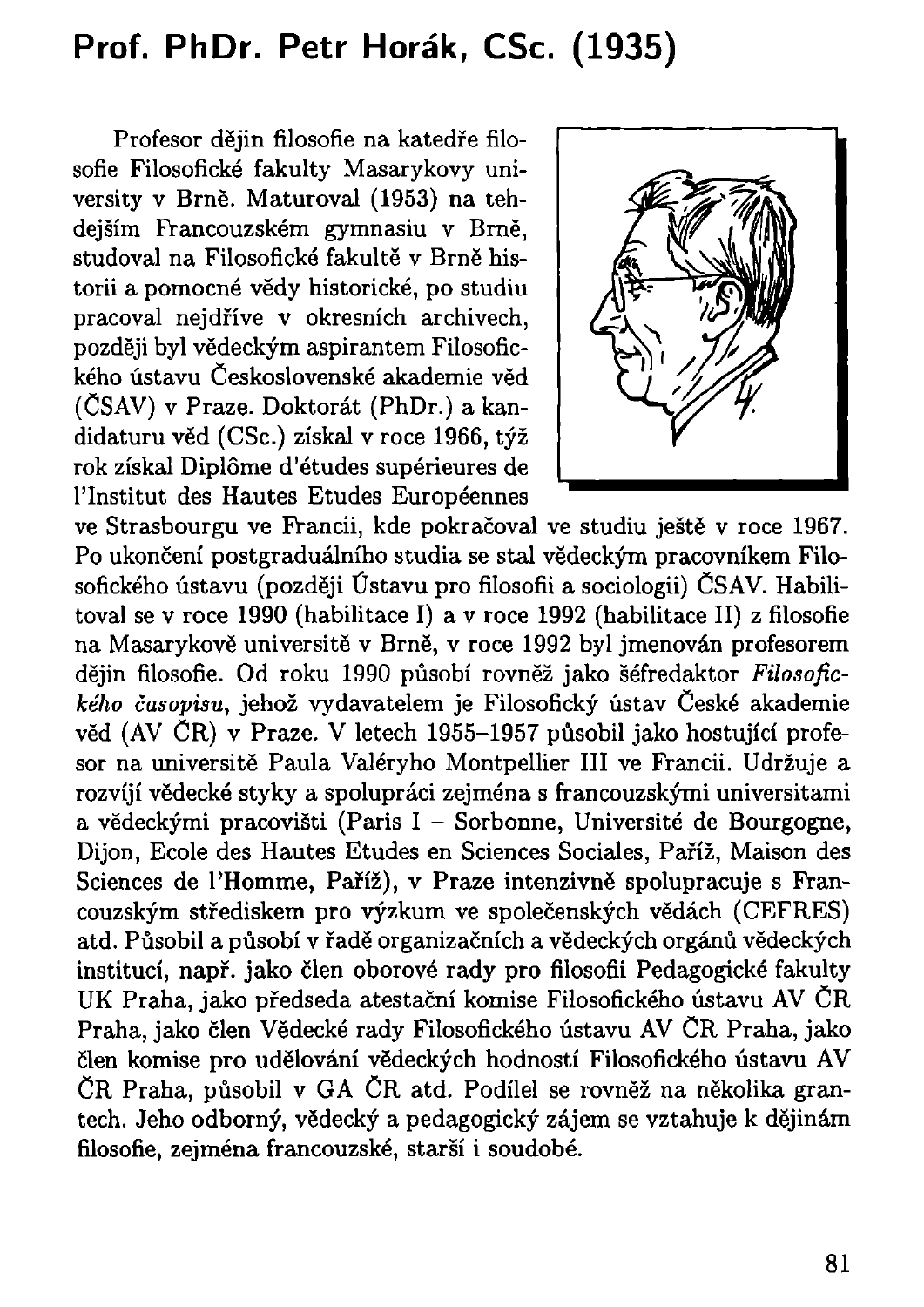## **Prof. PhDr. Petr Horák, CSc. (1935)**

Profesor dějin filosofie na katedře filosofie Filosofické fakulty Masarykovy university v Brně. Maturoval (1953) na tehdejším Francouzském gymnasiu v Brně, studoval na Filosofické fakultě v Brně historii a pomocné vědy historické, po studiu pracoval nejdříve v okresních archivech, později byl vědeckým aspirantem Filosofického ústavu Československé akademie věd (ČSAV) v Praze. Doktorát (PhDr.) a kandidaturu věd (CSc.) získal v roce 1966, týž rok získal Diplôme d'études supérieures de 1'Institut des Hautes Etudes Européennes



ve Strasbourgu ve Francii, kde pokračoval ve studiu ještě v roce 1967. Po ukončení postgraduálního studia se stal vědeckým pracovníkem Filosofického ústavu (později Ústavu pro filosofii a sociologii) ČSAV. Habilitoval se v roce 1990 (habilitace I) a v roce 1992 (habilitace II) z filosofie na Masarykově universitě v Brně, v roce 1992 byl jmenován profesorem dějin filosofie. Od roku 1990 působí rovněž jako šéfredaktor *Filosofického časopisu,* jehož vydavatelem je Filosofický ústav České akademie věd (AV ČR) v Praze. V letech 1955-1957 působil jako hostující profesor na universitě Paula Valéryho Montpellier III ve Francii. Udržuje a rozvíjí vědecké styky a spolupráci zejména s francouzskými universitami a vědeckými pracovišti (Paris I - Sorbonne, Université de Bourgogne, Dijon, Ecole des Hautes Etudes en Sciences Sociales, Paříž, Maison des Sciences de l'Homme, Paříž), v Praze intenzivně spolupracuje s Francouzským střediskem pro výzkum ve společenských vědách (CEFRES) atd. Působil a působí v řadě organizačních a vědeckých orgánů vědeckých institucí, např. jako člen oborové rady pro filosofii Pedagogické fakulty UK Praha, jako předseda atestační komise Filosofického ústavu AV ČR Praha, jako člen Vědecké rady Filosofického ústavu AV ČR Praha, jako člen komise pro udělování vědeckých hodností Filosofického ústavu AV ČR Praha, působil v GA ČR atd. Podílel se rovněž na několika grantech. Jeho odborný, vědecký a pedagogický zájem se vztahuje k dějinám filosofie, zejména francouzské, starší i soudobé.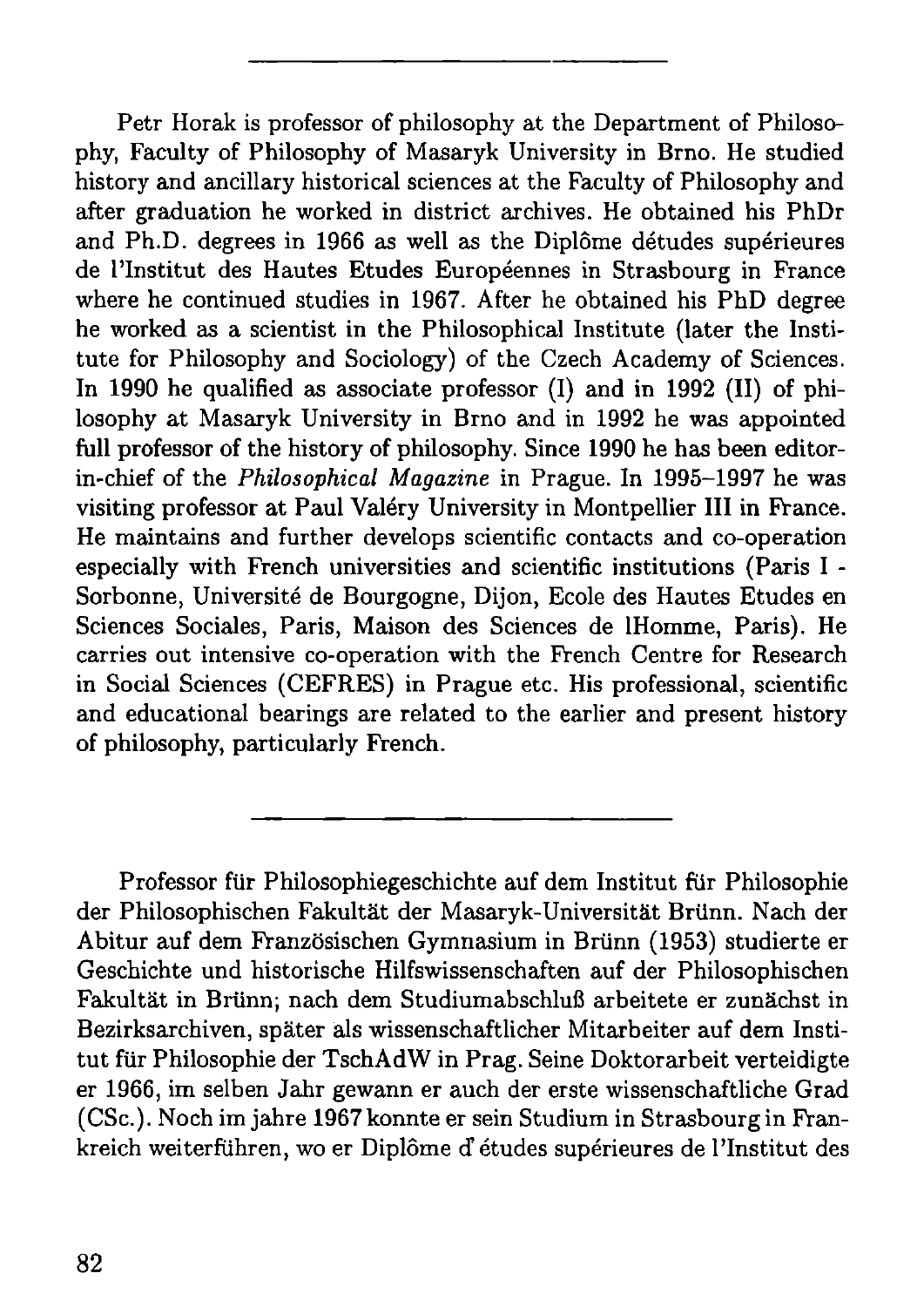Petr Horak is professor of philosophy at the Department of Philosophy, Faculty of Philosophy of Masaryk University in Brno. He studied history and ancillary historical sciences at the Faculty of Philosophy and after graduation he worked in district archives. He obtained his PhDr and Ph.D. degrees in 1966 as well as the Diplôme détudes supérieures de l'Institut des Hautes Etudes Européennes in Strasbourg in France where he continued studies in 1967. After he obtained his PhD degree he worked as a scientist in the Philosophical Institute (later the Institute for Philosophy and Sociology) of the Czech Academy of Sciences. In 1990 he qualified as associate professor (I) and in 1992 (II) of philosophy at Masaryk University in Brno and in 1992 he was appointed full professor of the history of philosophy. Since 1990 he has been editorin-chief of the *Philosophical Magazine* in Prague. In 1995-1997 he was visiting professor at Paul Valéry University in Montpellier III in France. He maintains and further develops scientific contacts and co-operation especially with French universities and scientific institutions (Paris I - Sorbonne, Université de Bourgogne, Dijon, Ecole des Hautes Etudes en Sciences Sociales, Paris, Maison des Sciences de lHomme, Paris). He carries out intensive co-operation with the French Centre for Research in Social Sciences (CEFRES) in Prague etc. His professional, scientific and educational bearings are related to the earlier and present history of philosophy, particularly French.

Professor für Philosophiegeschichte auf dem Institut für Philosophie der Philosophischen Fakultät der Masaryk-Universität Brünn. Nach der Abitur auf dem Französischen Gymnasium in Brünn (1953) studierte er Geschichte und historische Hilfswissenschaften auf der Philosophischen Fakultät in Brünn; nach dem Studiumabschluß arbeitete er zunächst in Bezirksarchiven, später als wissenschaftlicher Mitarbeiter auf dem Institut für Philosophie der TschAdW in Prag. Seine Doktorarbeit verteidigte er 1966, im selben Jahr gewann er auch der erste wissenschaftliche Grad (CSc). Noch im jähre 1967 konnte er sein Studium in Strasbourg in Frankreich weiterführen, wo er Diplôme d'études supérieures de l'Institut des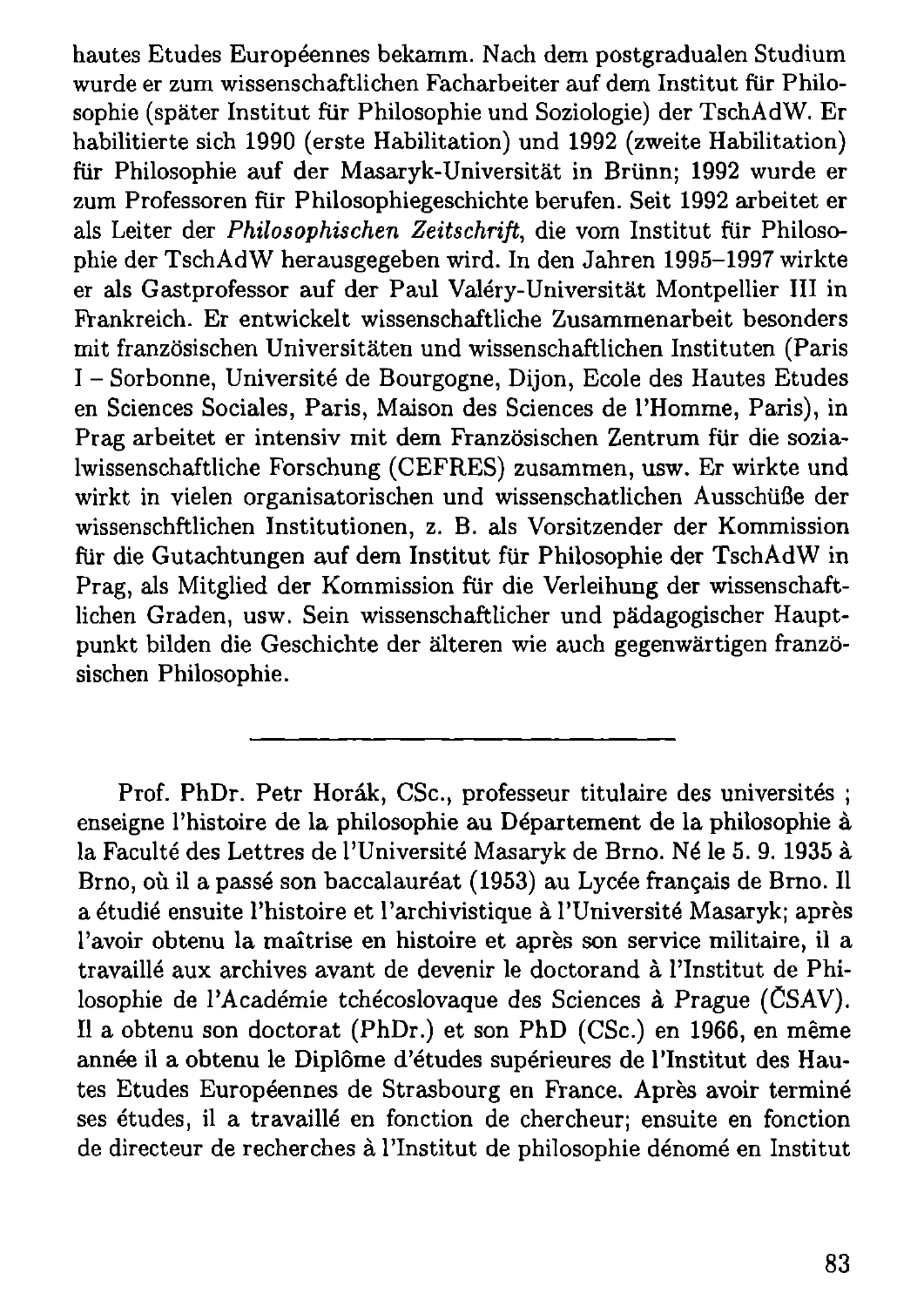hautes Etudes Européennes bekamm. Nach dem postgradualen Studium wurde er zum wissenschaftlichen Facharbeiter auf dem Institut für Philosophie (später Institut für Philosophie und Soziologie) der TschAdW. Er habilitierte sich 1990 (erste Habilitation) und 1992 (zweite Habilitation) für Philosophie auf der Masaryk-Universität in Brünn; 1992 wurde er zum Professoren für Philosophiegeschichte berufen. Seit 1992 arbeitet er als Leiter der *Philosophischen Zeitschrift,* die vom Institut für Philosophie der TschAdW herausgegeben wird. In den Jahren 1995-1997 wirkte er als Gastprofessor auf der Paul **Valery**-Universität Montpellier III in Frankreich. Er entwickelt wissenschaftliche Zusammenarbeit besonders mit französischen Universitäten und wissenschaftlichen Instituten (Paris I - Sorbonne, Université de Bourgogne, Dijon, Ecole des Hautes Etudes en Sciences Sociales, Paris, Maison des Sciences de l'Homme, Paris), in Prag arbeitet er intensiv mit dem Französischen Zentrum für die sozialwissenschaftliche Forschung (CEFRES) zusammen, usw. Er wirkte und wirkt in vielen organisatorischen und wissenschatlichen Ausschüße der wissenschftlichen Institutionen, z. B. als Vorsitzender der Kommission für die Gutachtungen auf dem Institut für Philosophie der TschAdW in Prag, als Mitglied der Kommission für die Verleihung der wissenschaftlichen Graden, usw. Sein wissenschaftlicher und pädagogischer Hauptpunkt bilden die Geschichte der älteren wie auch gegenwärtigen französischen Philosophie.

Prof. PhDr. Petr Horák, CSc., professeur titulaire des universités; enseigne l'histoire de la philosophie au Département de la philosophie à la Faculté des Lettres de l'Université Masaryk de Brno. Né le 5. 9. 1935 à Brno, où il a passé son baccalauréat (1953) au Lycée français de Brno. Il a étudié ensuite l'histoire et l'archivistique à l'Université Masaryk; après l'avoir obtenu la maîtrise en histoire et après son service militaire, il a travaillé aux archives avant de devenir le doctorand à l'Institut de Philosophie de l'Académie tchécoslovaque des Sciences à Prague (CSAV). Il a obtenu son doctorat (PhDr.) et son PhD (CSc.) en 1966, en même année il a obtenu le Diplôme d'études supérieures de l'Institut des Hautes Etudes Européennes de Strasbourg en France. Après avoir terminé ses études, il a travaillé en fonction de chercheur; ensuite en fonction de directeur de recherches à l'Institut de philosophie dénomé en Institut